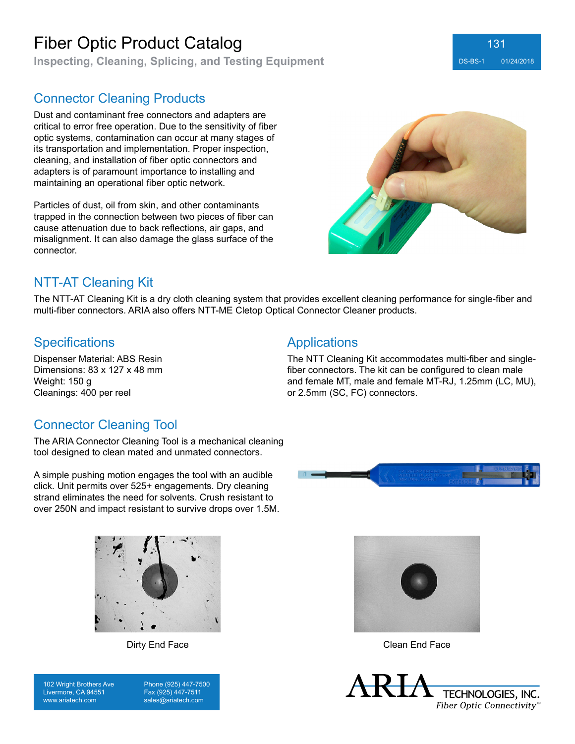**Inspecting, Cleaning, Splicing, and Testing Equipment** Designation of DS-BS-1 01/24/2018

### Connector Cleaning Products

Dust and contaminant free connectors and adapters are critical to error free operation. Due to the sensitivity of fiber optic systems, contamination can occur at many stages of its transportation and implementation. Proper inspection, cleaning, and installation of fiber optic connectors and adapters is of paramount importance to installing and maintaining an operational fiber optic network.

Particles of dust, oil from skin, and other contaminants trapped in the connection between two pieces of fiber can cause attenuation due to back reflections, air gaps, and misalignment. It can also damage the glass surface of the connector.



131

# NTT-AT Cleaning Kit

The NTT-AT Cleaning Kit is a dry cloth cleaning system that provides excellent cleaning performance for single-fiber and multi-fiber connectors. ARIA also offers NTT-ME Cletop Optical Connector Cleaner products.

#### Specifications **Applications**

Dispenser Material: ABS Resin Dimensions: 83 x 127 x 48 mm Weight: 150 g Cleanings: 400 per reel

The NTT Cleaning Kit accommodates multi-fiber and singlefiber connectors. The kit can be configured to clean male and female MT, male and female MT-RJ, 1.25mm (LC, MU), or 2.5mm (SC, FC) connectors.

### Connector Cleaning Tool

The ARIA Connector Cleaning Tool is a mechanical cleaning tool designed to clean mated and unmated connectors.

A simple pushing motion engages the tool with an audible click. Unit permits over 525+ engagements. Dry cleaning strand eliminates the need for solvents. Crush resistant to over 250N and impact resistant to survive drops over 1.5M.





102 Wright Brothers Ave Livermore, CA 94551 www.ariatech.com

Phone (925) 447-7500 Fax (925) 447-7511 sales@ariatech.com



Dirty End Face Clean End Face

**TECHNOLOGIES, INC.** Fiber Optic Connectivity®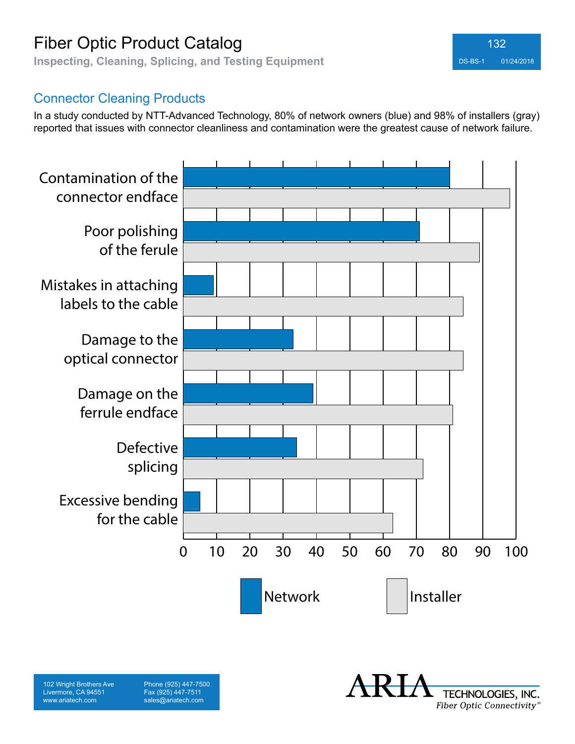**Inspecting, Cleaning, Splicing, and Testing Equipment** DS-BS-1 01/24/2018



### Connector Cleaning Products

102 Wright Brothers Ave Livermore, CA 94551 www.ariatech.com

Phone (925) 447-7500 Fax (925) 447-7511 sales@ariatech.com

In a study conducted by NTT-Advanced Technology, 80% of network owners (blue) and 98% of installers (gray) reported that issues with connector cleanliness and contamination were the greatest cause of network failure.



TECHNOLOGIES, INC. Fiber Optic Connectivity®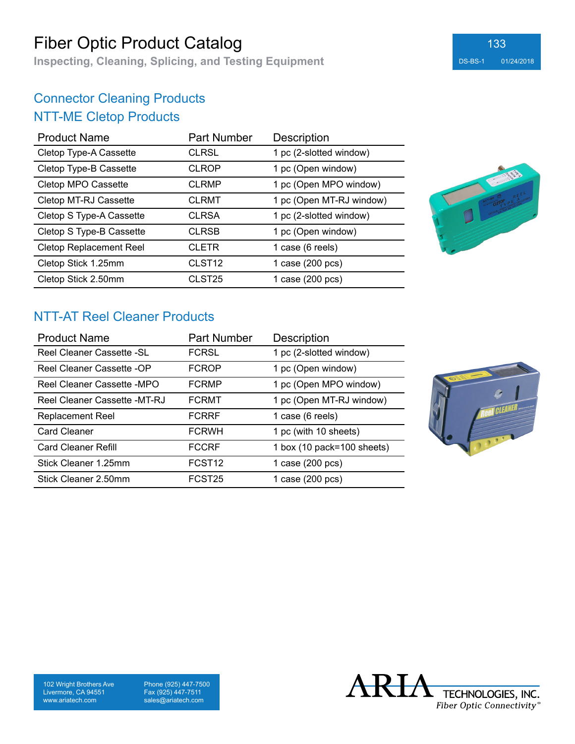**Inspecting, Cleaning, Splicing, and Testing Equipment** DS-BS-1 01/24/2018

# Connector Cleaning Products NTT-ME Cletop Products

| <b>Product Name</b>            | <b>Part Number</b> | <b>Description</b>       |
|--------------------------------|--------------------|--------------------------|
| Cletop Type-A Cassette         | <b>CLRSL</b>       | 1 pc (2-slotted window)  |
| Cletop Type-B Cassette         | <b>CLROP</b>       | 1 pc (Open window)       |
| Cletop MPO Cassette            | <b>CLRMP</b>       | 1 pc (Open MPO window)   |
| Cletop MT-RJ Cassette          | <b>CLRMT</b>       | 1 pc (Open MT-RJ window) |
| Cletop S Type-A Cassette       | <b>CLRSA</b>       | 1 pc (2-slotted window)  |
| Cletop S Type-B Cassette       | <b>CLRSB</b>       | 1 pc (Open window)       |
| <b>Cletop Replacement Reel</b> | <b>CLETR</b>       | 1 case (6 reels)         |
| Cletop Stick 1.25mm            | CLST <sub>12</sub> | 1 case (200 pcs)         |
| Cletop Stick 2.50mm            | CLST <sub>25</sub> | 1 case (200 pcs)         |



۰

### NTT-AT Reel Cleaner Products

| <b>Product Name</b>          | <b>Part Number</b> | <b>Description</b>         |
|------------------------------|--------------------|----------------------------|
| Reel Cleaner Cassette - SL   | <b>FCRSL</b>       | 1 pc (2-slotted window)    |
| Reel Cleaner Cassette -OP    | <b>FCROP</b>       | 1 pc (Open window)         |
| Reel Cleaner Cassette -MPO   | <b>FCRMP</b>       | 1 pc (Open MPO window)     |
| Reel Cleaner Cassette -MT-RJ | <b>FCRMT</b>       | 1 pc (Open MT-RJ window)   |
| <b>Replacement Reel</b>      | <b>FCRRF</b>       | 1 case (6 reels)           |
| <b>Card Cleaner</b>          | <b>FCRWH</b>       | 1 pc (with 10 sheets)      |
| <b>Card Cleaner Refill</b>   | <b>FCCRF</b>       | 1 box (10 pack=100 sheets) |
| Stick Cleaner 1.25mm         | FCST <sub>12</sub> | 1 case (200 pcs)           |
| Stick Cleaner 2.50mm         | FCST <sub>25</sub> | 1 case (200 pcs)           |



102 Wright Brothers Ave Livermore, CA 94551 www.ariatech.com

Phone (925) 447-7500 Fax (925) 447-7511 sales@ariatech.com